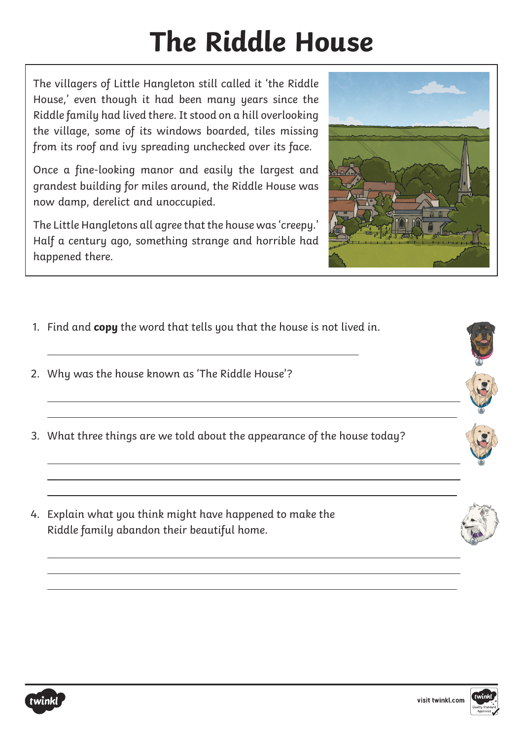# **The Riddle House**

The villagers of Little Hangleton still called it 'the Riddle House,' even though it had been many years since the Riddle family had lived there. It stood on a hill overlooking the village, some of its windows boarded, tiles missing from its roof and ivy spreading unchecked over its face.

Once a fine-looking manor and easily the largest and grandest building for miles around, the Riddle House was now damp, derelict and unoccupied.

The Little Hangletons all agree that the house was 'creepy.' Half a century ago, something strange and horrible had happened there.

- 1. Find and **copy** the word that tells you that the house is not lived in.
- 2. Why was the house known as 'The Riddle House'?
- 3. What three things are we told about the appearance of the house today?
- 4. Explain what you think might have happened to make the Riddle family abandon their beautiful home.



 $\overline{a}$ 

 $\overline{a}$ 

 $\overline{a}$ 

 $\overline{a}$ 



 $\overline{a}$ 

 $\overline{a}$  $\overline{a}$ 

 $\overline{a}$  $\overline{a}$